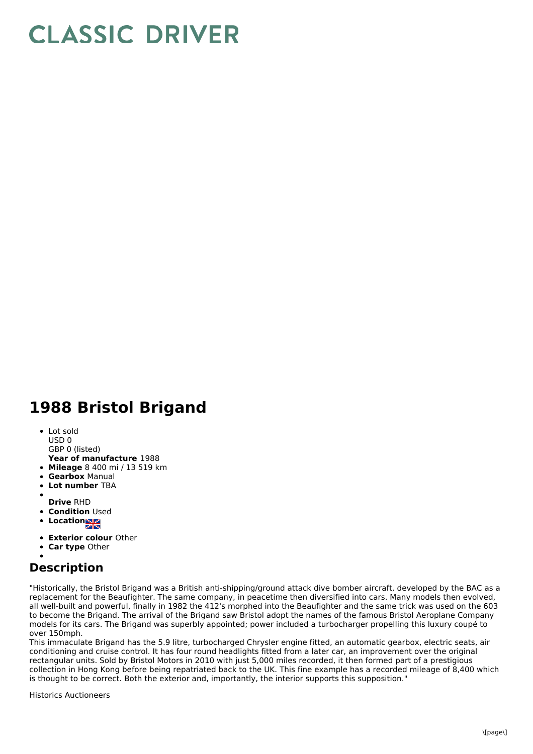## **CLASSIC DRIVER**

## **1988 Bristol Brigand**

- Lot sold USD 0
- GBP 0 (listed)
- **Year of manufacture** 1988
- **Mileage** 8 400 mi / 13 519 km
- **Gearbox** Manual
- **Lot number** TBA
- 
- **Drive** RHD
- **Condition Used**
- **Location**
- **Exterior colour** Other
- **Car type** Other

## **Description**

"Historically, the Bristol Brigand was a British anti-shipping/ground attack dive bomber aircraft, developed by the BAC as a replacement for the Beaufighter. The same company, in peacetime then diversified into cars. Many models then evolved, all well-built and powerful, finally in 1982 the 412's morphed into the Beaufighter and the same trick was used on the 603 to become the Brigand. The arrival of the Brigand saw Bristol adopt the names of the famous Bristol Aeroplane Company models for its cars. The Brigand was superbly appointed; power included a turbocharger propelling this luxury coupé to over 150mph.

This immaculate Brigand has the 5.9 litre, turbocharged Chrysler engine fitted, an automatic gearbox, electric seats, air conditioning and cruise control. It has four round headlights fitted from a later car, an improvement over the original rectangular units. Sold by Bristol Motors in 2010 with just 5,000 miles recorded, it then formed part of a prestigious collection in Hong Kong before being repatriated back to the UK. This fine example has a recorded mileage of 8,400 which is thought to be correct. Both the exterior and, importantly, the interior supports this supposition."

Historics Auctioneers